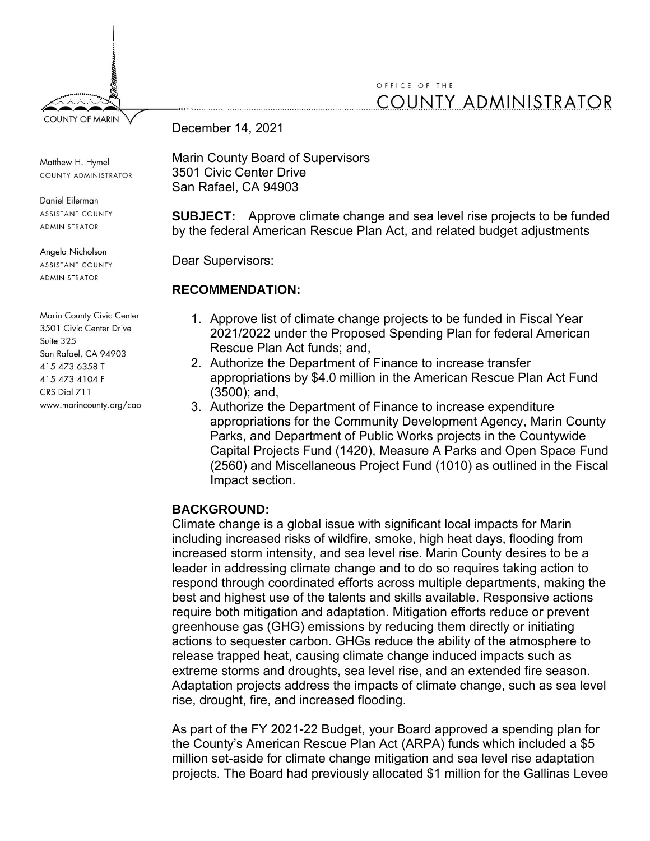## OFFICE OF THE **COUNTY ADMINISTRATOR**

**COUNTY OF MARIN** 

Matthew H. Hymel COUNTY ADMINISTRATOR

Daniel Eilerman **ASSISTANT COUNTY** ADMINISTRATOR

Angela Nicholson

**ASSISTANT COUNTY ADMINISTRATOR** 

Marin County Civic Center 3501 Civic Center Drive Suite 325 San Rafael, CA 94903 415 473 6358 T 415 473 4104 F CRS Dial 711 www.marincounty.org/cao December 14, 2021

Marin County Board of Supervisors 3501 Civic Center Drive San Rafael, CA 94903

**SUBJECT:** Approve climate change and sea level rise projects to be funded by the federal American Rescue Plan Act, and related budget adjustments

Dear Supervisors:

#### **RECOMMENDATION:**

- 1. Approve list of climate change projects to be funded in Fiscal Year 2021/2022 under the Proposed Spending Plan for federal American Rescue Plan Act funds; and,
- 2. Authorize the Department of Finance to increase transfer appropriations by \$4.0 million in the American Rescue Plan Act Fund (3500); and,
- 3. Authorize the Department of Finance to increase expenditure appropriations for the Community Development Agency, Marin County Parks, and Department of Public Works projects in the Countywide Capital Projects Fund (1420), Measure A Parks and Open Space Fund (2560) and Miscellaneous Project Fund (1010) as outlined in the Fiscal Impact section.

#### **BACKGROUND:**

Climate change is a global issue with significant local impacts for Marin including increased risks of wildfire, smoke, high heat days, flooding from increased storm intensity, and sea level rise. Marin County desires to be a leader in addressing climate change and to do so requires taking action to respond through coordinated efforts across multiple departments, making the best and highest use of the talents and skills available. Responsive actions require both mitigation and adaptation. Mitigation efforts reduce or prevent greenhouse gas (GHG) emissions by reducing them directly or initiating actions to sequester carbon. GHGs reduce the ability of the atmosphere to release trapped heat, causing climate change induced impacts such as extreme storms and droughts, sea level rise, and an extended fire season. Adaptation projects address the impacts of climate change, such as sea level rise, drought, fire, and increased flooding.

As part of the FY 2021-22 Budget, your Board approved a spending plan for the County's American Rescue Plan Act (ARPA) funds which included a \$5 million set-aside for climate change mitigation and sea level rise adaptation projects. The Board had previously allocated \$1 million for the Gallinas Levee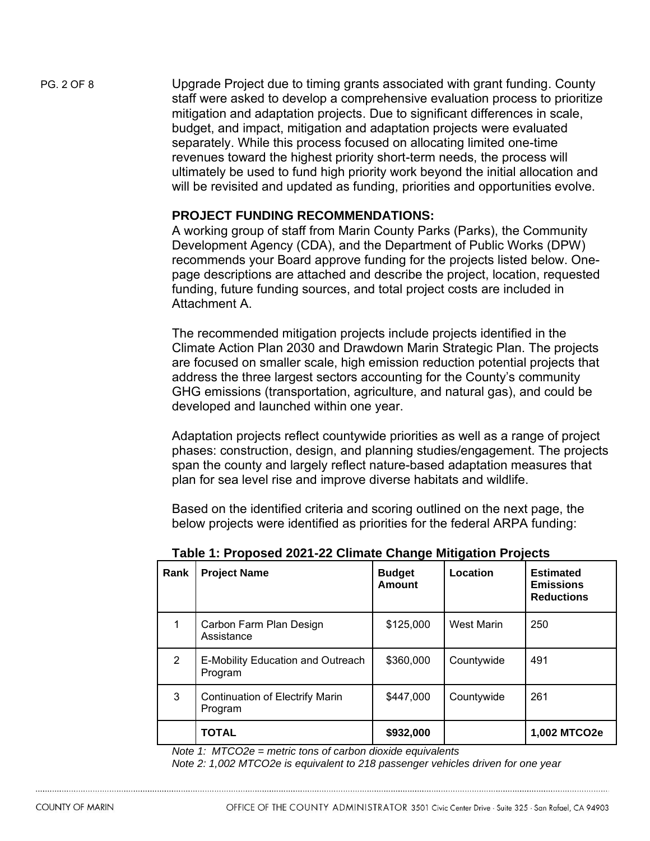PG. 2 OF 8 Upgrade Project due to timing grants associated with grant funding. County staff were asked to develop a comprehensive evaluation process to prioritize mitigation and adaptation projects. Due to significant differences in scale, budget, and impact, mitigation and adaptation projects were evaluated separately. While this process focused on allocating limited one-time revenues toward the highest priority short-term needs, the process will ultimately be used to fund high priority work beyond the initial allocation and will be revisited and updated as funding, priorities and opportunities evolve.

#### **PROJECT FUNDING RECOMMENDATIONS:**

A working group of staff from Marin County Parks (Parks), the Community Development Agency (CDA), and the Department of Public Works (DPW) recommends your Board approve funding for the projects listed below. Onepage descriptions are attached and describe the project, location, requested funding, future funding sources, and total project costs are included in Attachment A.

The recommended mitigation projects include projects identified in the Climate Action Plan 2030 and Drawdown Marin Strategic Plan. The projects are focused on smaller scale, high emission reduction potential projects that address the three largest sectors accounting for the County's community GHG emissions (transportation, agriculture, and natural gas), and could be developed and launched within one year.

Adaptation projects reflect countywide priorities as well as a range of project phases: construction, design, and planning studies/engagement. The projects span the county and largely reflect nature-based adaptation measures that plan for sea level rise and improve diverse habitats and wildlife.

Based on the identified criteria and scoring outlined on the next page, the below projects were identified as priorities for the federal ARPA funding:

| Rank | <b>Project Name</b>                                                                                                                                            | <b>Budget</b><br>Amount              | Location   | <b>Estimated</b><br><b>Emissions</b><br><b>Reductions</b> |
|------|----------------------------------------------------------------------------------------------------------------------------------------------------------------|--------------------------------------|------------|-----------------------------------------------------------|
|      | Carbon Farm Plan Design<br>Assistance                                                                                                                          | \$125,000                            | West Marin | 250                                                       |
| 2    | E-Mobility Education and Outreach<br>Program                                                                                                                   | \$360,000                            | Countywide | 491                                                       |
| 3    | <b>Continuation of Electrify Marin</b><br>Program                                                                                                              | \$447,000                            | Countywide | 261                                                       |
|      | <b>TOTAL</b><br>$\mathbf{1}$ $\mathbf{1}$ $\mathbf{1}$ $\mathbf{1}$ $\mathbf{1}$ $\mathbf{1}$ $\mathbf{1}$ $\mathbf{1}$ $\mathbf{1}$ $\mathbf{1}$ $\mathbf{1}$ | \$932,000<br>$\cdot$ $\cdot$ $\cdot$ |            | 1,002 MTCO2e                                              |

**Table 1: Proposed 2021-22 Climate Change Mitigation Projects**

*Note 1: MTCO2e = metric tons of carbon dioxide equivalents*

*Note 2: 1,002 MTCO2e is equivalent to 218 passenger vehicles driven for one year*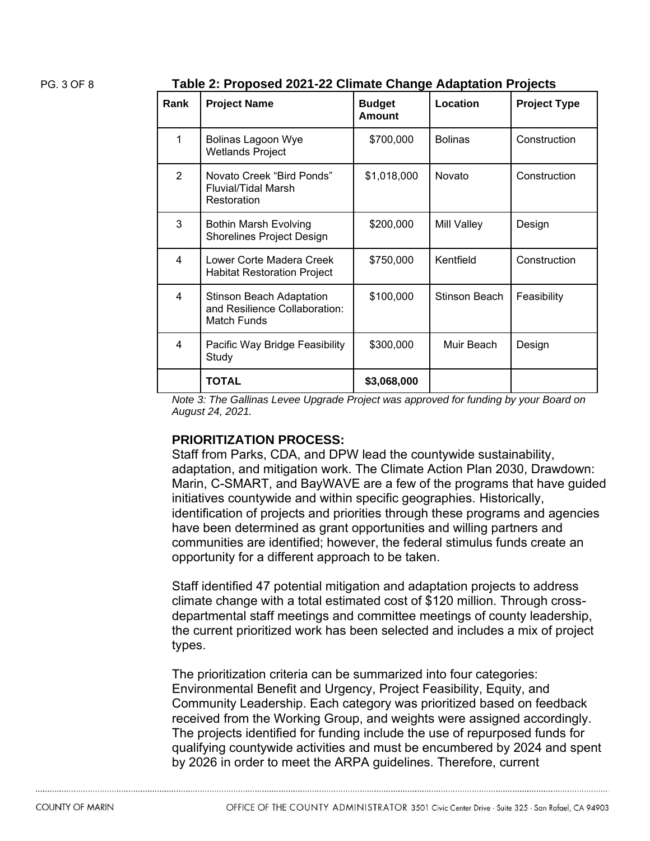PG. 3 OF 8 **Table 2: Proposed 2021-22 Climate Change Adaptation Projects**

| Rank           | <b>Project Name</b>                                                             | <b>Budget</b><br><b>Amount</b> | Location           | <b>Project Type</b> |
|----------------|---------------------------------------------------------------------------------|--------------------------------|--------------------|---------------------|
| 1              | <b>Bolinas Lagoon Wye</b><br><b>Wetlands Project</b>                            | \$700,000                      | <b>Bolinas</b>     | Construction        |
| $\overline{2}$ | Novato Creek "Bird Ponds"<br><b>Fluvial/Tidal Marsh</b><br>Restoration          | \$1,018,000                    | Novato             | Construction        |
| 3              | <b>Bothin Marsh Evolving</b><br><b>Shorelines Project Design</b>                | \$200,000                      | <b>Mill Valley</b> | Design              |
| 4              | Lower Corte Madera Creek<br><b>Habitat Restoration Project</b>                  | \$750,000                      | Kentfield          | Construction        |
| 4              | <b>Stinson Beach Adaptation</b><br>and Resilience Collaboration:<br>Match Funds | \$100,000                      | Stinson Beach      | Feasibility         |
| 4              | Pacific Way Bridge Feasibility<br>Study                                         | \$300,000                      | Muir Beach         | Design              |
|                | <b>TOTAL</b>                                                                    | \$3,068,000                    |                    |                     |

*Note 3: The Gallinas Levee Upgrade Project was approved for funding by your Board on August 24, 2021.* 

#### **PRIORITIZATION PROCESS:**

Staff from Parks, CDA, and DPW lead the countywide sustainability, adaptation, and mitigation work. The Climate Action Plan 2030, Drawdown: Marin, C-SMART, and BayWAVE are a few of the programs that have guided initiatives countywide and within specific geographies. Historically, identification of projects and priorities through these programs and agencies have been determined as grant opportunities and willing partners and communities are identified; however, the federal stimulus funds create an opportunity for a different approach to be taken.

Staff identified 47 potential mitigation and adaptation projects to address climate change with a total estimated cost of \$120 million. Through crossdepartmental staff meetings and committee meetings of county leadership, the current prioritized work has been selected and includes a mix of project types.

The prioritization criteria can be summarized into four categories: Environmental Benefit and Urgency, Project Feasibility, Equity, and Community Leadership. Each category was prioritized based on feedback received from the Working Group, and weights were assigned accordingly. The projects identified for funding include the use of repurposed funds for qualifying countywide activities and must be encumbered by 2024 and spent by 2026 in order to meet the ARPA guidelines. Therefore, current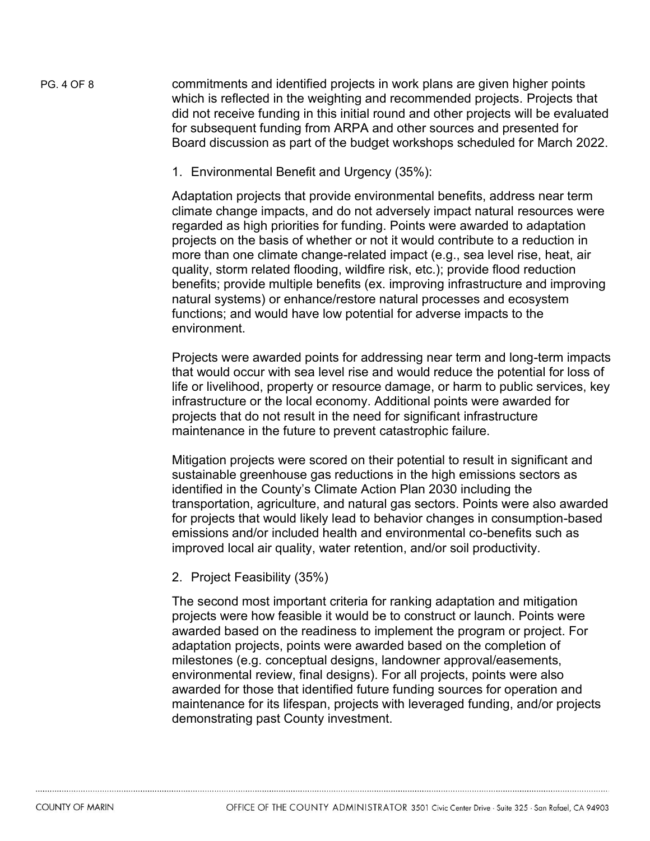PG. 4 OF 8 commitments and identified projects in work plans are given higher points which is reflected in the weighting and recommended projects. Projects that did not receive funding in this initial round and other projects will be evaluated for subsequent funding from ARPA and other sources and presented for Board discussion as part of the budget workshops scheduled for March 2022.

1. Environmental Benefit and Urgency (35%):

Adaptation projects that provide environmental benefits, address near term climate change impacts, and do not adversely impact natural resources were regarded as high priorities for funding. Points were awarded to adaptation projects on the basis of whether or not it would contribute to a reduction in more than one climate change-related impact (e.g., sea level rise, heat, air quality, storm related flooding, wildfire risk, etc.); provide flood reduction benefits; provide multiple benefits (ex. improving infrastructure and improving natural systems) or enhance/restore natural processes and ecosystem functions; and would have low potential for adverse impacts to the environment.

Projects were awarded points for addressing near term and long-term impacts that would occur with sea level rise and would reduce the potential for loss of life or livelihood, property or resource damage, or harm to public services, key infrastructure or the local economy. Additional points were awarded for projects that do not result in the need for significant infrastructure maintenance in the future to prevent catastrophic failure.

Mitigation projects were scored on their potential to result in significant and sustainable greenhouse gas reductions in the high emissions sectors as identified in the County's Climate Action Plan 2030 including the transportation, agriculture, and natural gas sectors. Points were also awarded for projects that would likely lead to behavior changes in consumption-based emissions and/or included health and environmental co-benefits such as improved local air quality, water retention, and/or soil productivity.

2. Project Feasibility (35%)

The second most important criteria for ranking adaptation and mitigation projects were how feasible it would be to construct or launch. Points were awarded based on the readiness to implement the program or project. For adaptation projects, points were awarded based on the completion of milestones (e.g. conceptual designs, landowner approval/easements, environmental review, final designs). For all projects, points were also awarded for those that identified future funding sources for operation and maintenance for its lifespan, projects with leveraged funding, and/or projects demonstrating past County investment.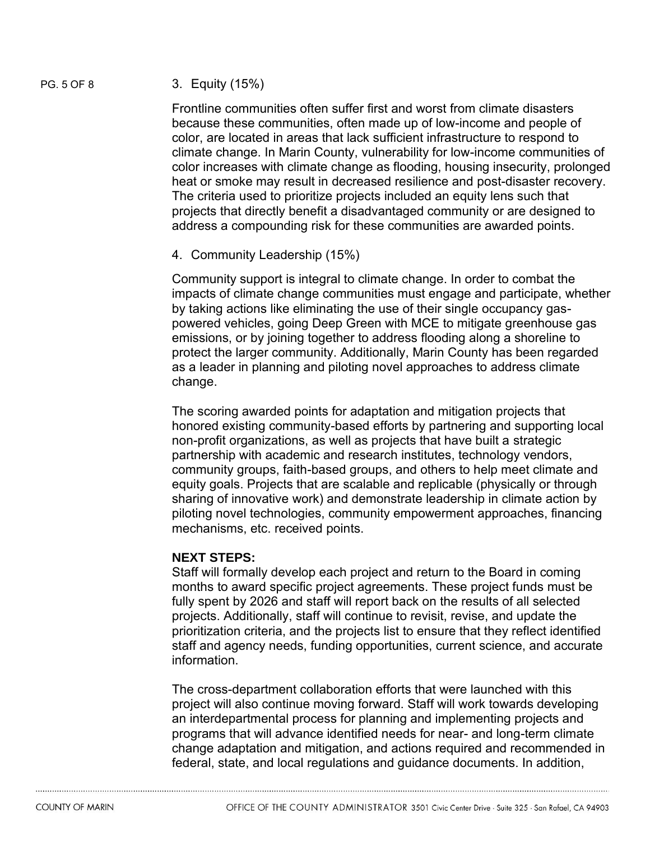#### PG. 5 OF 8 3. Equity (15%)

Frontline communities often suffer first and worst from climate disasters because these communities, often made up of low-income and people of color, are located in areas that lack sufficient infrastructure to respond to climate change. In Marin County, vulnerability for low-income communities of color increases with climate change as flooding, housing insecurity, prolonged heat or smoke may result in decreased resilience and post-disaster recovery. The criteria used to prioritize projects included an equity lens such that projects that directly benefit a disadvantaged community or are designed to address a compounding risk for these communities are awarded points.

4. Community Leadership (15%)

Community support is integral to climate change. In order to combat the impacts of climate change communities must engage and participate, whether by taking actions like eliminating the use of their single occupancy gaspowered vehicles, going Deep Green with MCE to mitigate greenhouse gas emissions, or by joining together to address flooding along a shoreline to protect the larger community. Additionally, Marin County has been regarded as a leader in planning and piloting novel approaches to address climate change.

The scoring awarded points for adaptation and mitigation projects that honored existing community-based efforts by partnering and supporting local non-profit organizations, as well as projects that have built a strategic partnership with academic and research institutes, technology vendors, community groups, faith-based groups, and others to help meet climate and equity goals. Projects that are scalable and replicable (physically or through sharing of innovative work) and demonstrate leadership in climate action by piloting novel technologies, community empowerment approaches, financing mechanisms, etc. received points.

#### **NEXT STEPS:**

Staff will formally develop each project and return to the Board in coming months to award specific project agreements. These project funds must be fully spent by 2026 and staff will report back on the results of all selected projects. Additionally, staff will continue to revisit, revise, and update the prioritization criteria, and the projects list to ensure that they reflect identified staff and agency needs, funding opportunities, current science, and accurate information.

The cross-department collaboration efforts that were launched with this project will also continue moving forward. Staff will work towards developing an interdepartmental process for planning and implementing projects and programs that will advance identified needs for near- and long-term climate change adaptation and mitigation, and actions required and recommended in federal, state, and local regulations and guidance documents. In addition,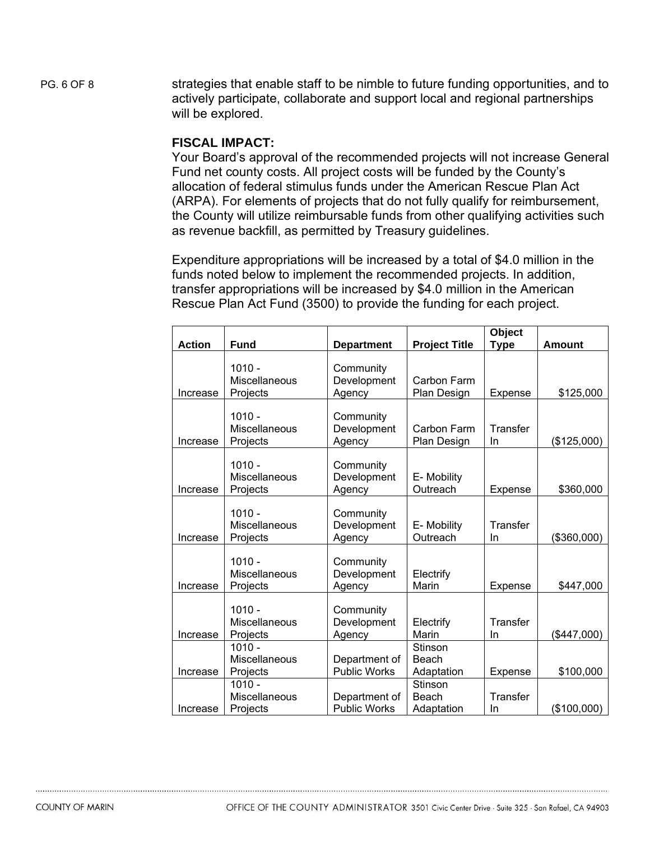PG. 6 OF 8 strategies that enable staff to be nimble to future funding opportunities, and to actively participate, collaborate and support local and regional partnerships will be explored.

#### **FISCAL IMPACT:**

Your Board's approval of the recommended projects will not increase General Fund net county costs. All project costs will be funded by the County's allocation of federal stimulus funds under the American Rescue Plan Act (ARPA). For elements of projects that do not fully qualify for reimbursement, the County will utilize reimbursable funds from other qualifying activities such as revenue backfill, as permitted by Treasury guidelines.

Expenditure appropriations will be increased by a total of \$4.0 million in the funds noted below to implement the recommended projects. In addition, transfer appropriations will be increased by \$4.0 million in the American Rescue Plan Act Fund (3500) to provide the funding for each project.

|               |                                       |                                      |                                | Object         |               |
|---------------|---------------------------------------|--------------------------------------|--------------------------------|----------------|---------------|
| <b>Action</b> | <b>Fund</b>                           | <b>Department</b>                    | <b>Project Title</b>           | <b>Type</b>    | <b>Amount</b> |
| Increase      | $1010 -$<br>Miscellaneous<br>Projects | Community<br>Development<br>Agency   | Carbon Farm<br>Plan Design     | Expense        | \$125,000     |
| Increase      | $1010 -$<br>Miscellaneous<br>Projects | Community<br>Development<br>Agency   | Carbon Farm<br>Plan Design     | Transfer<br>In | (\$125,000)   |
| Increase      | $1010 -$<br>Miscellaneous<br>Projects | Community<br>Development<br>Agency   | E- Mobility<br>Outreach        | Expense        | \$360,000     |
| Increase      | $1010 -$<br>Miscellaneous<br>Projects | Community<br>Development<br>Agency   | E- Mobility<br>Outreach        | Transfer<br>In | (\$360,000)   |
| Increase      | $1010 -$<br>Miscellaneous<br>Projects | Community<br>Development<br>Agency   | Electrify<br>Marin             | Expense        | \$447,000     |
| Increase      | $1010 -$<br>Miscellaneous<br>Projects | Community<br>Development<br>Agency   | Electrify<br>Marin             | Transfer<br>In | (\$447,000)   |
| Increase      | $1010 -$<br>Miscellaneous<br>Projects | Department of<br>Public Works        | Stinson<br>Beach<br>Adaptation | Expense        | \$100,000     |
| Increase      | $1010 -$<br>Miscellaneous<br>Projects | Department of<br><b>Public Works</b> | Stinson<br>Beach<br>Adaptation | Transfer<br>In | (\$100,000)   |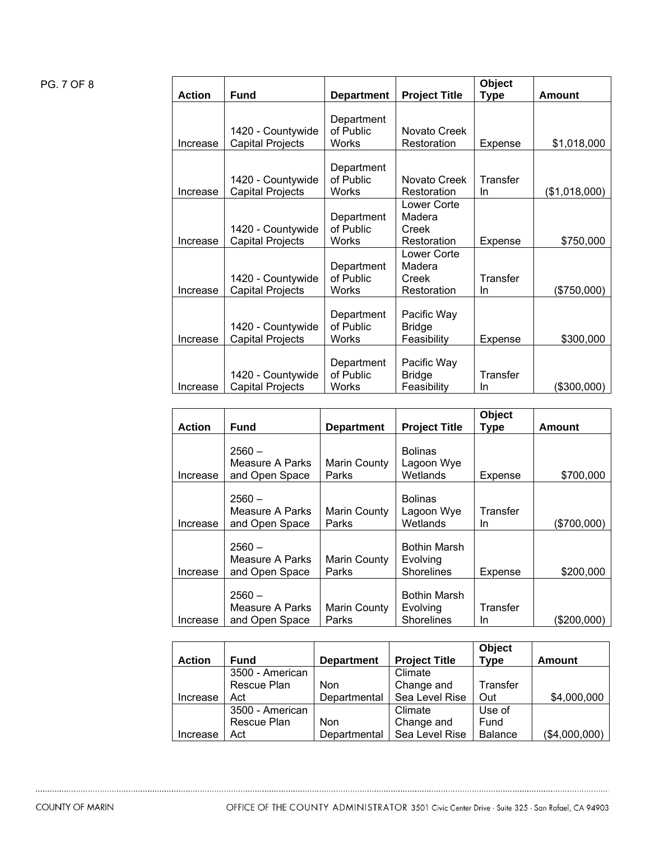### PG. 7 OF 8

|               |                                              |                                         |                                               | Object         |               |
|---------------|----------------------------------------------|-----------------------------------------|-----------------------------------------------|----------------|---------------|
| <b>Action</b> | <b>Fund</b>                                  | <b>Department</b>                       | <b>Project Title</b>                          | Type           | Amount        |
| Increase      | 1420 - Countywide<br><b>Capital Projects</b> | Department<br>of Public<br>Works        | Novato Creek<br>Restoration                   | Expense        | \$1,018,000   |
| Increase      | 1420 - Countywide<br><b>Capital Projects</b> | Department<br>of Public<br>Works        | Novato Creek<br>Restoration                   | Transfer<br>In | (\$1,018,000) |
| Increase      | 1420 - Countywide<br><b>Capital Projects</b> | Department<br>of Public<br>Works        | Lower Corte<br>Madera<br>Creek<br>Restoration | <b>Expense</b> | \$750,000     |
| Increase      | 1420 - Countywide<br><b>Capital Projects</b> | Department<br>of Public<br>Works        | Lower Corte<br>Madera<br>Creek<br>Restoration | Transfer<br>In | (\$750,000)   |
| Increase      | 1420 - Countywide<br>Capital Projects        | Department<br>of Public<br><b>Works</b> | Pacific Way<br><b>Bridge</b><br>Feasibility   | <b>Expense</b> | \$300,000     |
| Increase      | 1420 - Countywide<br><b>Capital Projects</b> | Department<br>of Public<br>Works        | Pacific Way<br><b>Bridge</b><br>Feasibility   | Transfer<br>In | (\$300,000)   |

|               |                                               |                       |                                                      | Object         |             |
|---------------|-----------------------------------------------|-----------------------|------------------------------------------------------|----------------|-------------|
| <b>Action</b> | <b>Fund</b>                                   | <b>Department</b>     | <b>Project Title</b>                                 | Type           | Amount      |
| Increase      | $2560 -$<br>Measure A Parks<br>and Open Space | Marin County<br>Parks | <b>Bolinas</b><br>Lagoon Wye<br>Wetlands             | Expense        | \$700,000   |
| Increase      | $2560 -$<br>Measure A Parks<br>and Open Space | Marin County<br>Parks | <b>Bolinas</b><br>Lagoon Wye<br>Wetlands             | Transfer<br>In | (\$700,000) |
| Increase      | $2560 -$<br>Measure A Parks<br>and Open Space | Marin County<br>Parks | <b>Bothin Marsh</b><br>Evolving<br><b>Shorelines</b> | Expense        | \$200,000   |
| Increase      | $2560 -$<br>Measure A Parks<br>and Open Space | Marin County<br>Parks | <b>Bothin Marsh</b><br>Evolving<br><b>Shorelines</b> | Transfer<br>In | (\$200.000) |

|               |                 |                   |                      | <b>Object</b>  |               |
|---------------|-----------------|-------------------|----------------------|----------------|---------------|
| <b>Action</b> | <b>Fund</b>     | <b>Department</b> | <b>Project Title</b> | <b>Type</b>    | Amount        |
|               | 3500 - American |                   | Climate              |                |               |
|               | Rescue Plan     | <b>Non</b>        | Change and           | Transfer       |               |
| Increase      | Act             | Departmental      | Sea Level Rise       | Out            | \$4,000,000   |
|               | 3500 - American |                   | Climate              | Use of         |               |
|               | Rescue Plan     | <b>Non</b>        | Change and           | Fund           |               |
| Increase      | Act             | Departmental      | Sea Level Rise       | <b>Balance</b> | (\$4,000,000) |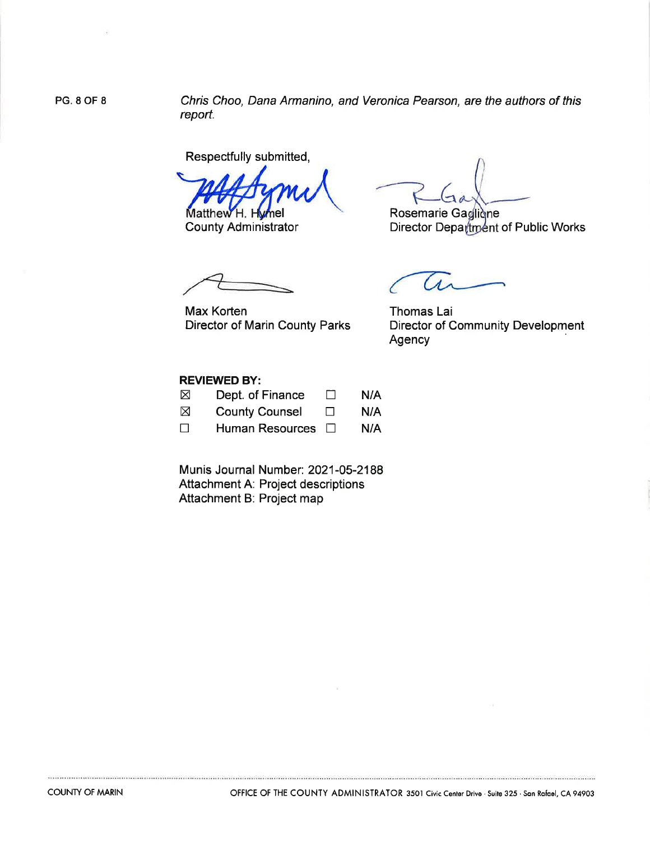**PG. 8 OF 8** 

Chris Choo, Dana Armanino, and Veronica Pearson, are the authors of this report.

Respectfully submitted,

Matthew H. H

**County Administrator** 

Rosemarie Gaglique

Director Department of Public Works

**Max Korten** Director of Marin County Parks

Thomas Lai **Director of Community Development** Agency

#### **REVIEWED BY:**

| $\boxtimes$ | Dept. of Finance      | $\mathbf{I}$ | N/A |
|-------------|-----------------------|--------------|-----|
| $\boxtimes$ | <b>County Counsel</b> | $\Box$       | N/A |
| $\Box$      | Human Resources □     |              | N/A |

Munis Journal Number: 2021-05-2188 Attachment A: Project descriptions Attachment B: Project map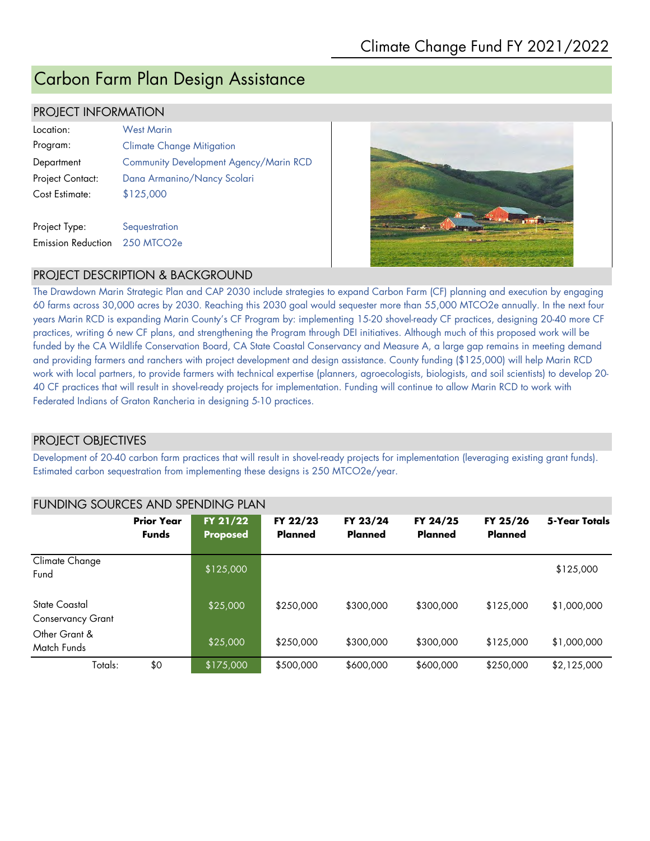## Carbon Farm Plan Design Assistance

#### PROJECT INFORMATION

| Location:                 | <b>West Marin</b>                      |
|---------------------------|----------------------------------------|
| Program:                  | <b>Climate Change Mitigation</b>       |
| Department                | Community Development Agency/Marin RCD |
| Project Contact:          | Dana Armanino/Nancy Scolari            |
| Cost Estimate:            | \$125,000                              |
|                           |                                        |
| Project Type:             | Sequestration                          |
| <b>Emission Reduction</b> | $250$ MTCO <sub>2e</sub>               |



#### PROJECT DESCRIPTION & BACKGROUND

The Drawdown Marin Strategic Plan and CAP 2030 include strategies to expand Carbon Farm (CF) planning and execution by engaging 60 farms across 30,000 acres by 2030. Reaching this 2030 goal would sequester more than 55,000 MTCO2e annually. In the next four years Marin RCD is expanding Marin County's CF Program by: implementing 15-20 shovel-ready CF practices, designing 20-40 more CF practices, writing 6 new CF plans, and strengthening the Program through DEI initiatives. Although much of this proposed work will be funded by the CA Wildlife Conservation Board, CA State Coastal Conservancy and Measure A, a large gap remains in meeting demand and providing farmers and ranchers with project development and design assistance. County funding (\$125,000) will help Marin RCD work with local partners, to provide farmers with technical expertise (planners, agroecologists, biologists, and soil scientists) to develop 20- 40 CF practices that will result in shovel-ready projects for implementation. Funding will continue to allow Marin RCD to work with Federated Indians of Graton Rancheria in designing 5-10 practices.

#### PROJECT OBJECTIVES

Development of 20-40 carbon farm practices that will result in shovel-ready projects for implementation (leveraging existing grant funds). Estimated carbon sequestration from implementing these designs is 250 MTCO2e/year.

|                                           | <b>Prior Year</b><br><b>Funds</b> | FY 21/22<br><b>Proposed</b> | FY 22/23<br>Planned | FY 23/24<br><b>Planned</b> | FY 24/25<br>Planned | FY 25/26<br><b>Planned</b> | 5-Year Totals |  |
|-------------------------------------------|-----------------------------------|-----------------------------|---------------------|----------------------------|---------------------|----------------------------|---------------|--|
| Climate Change<br>Fund                    |                                   | \$125,000                   |                     |                            |                     |                            | \$125,000     |  |
| State Coastal<br><b>Conservancy Grant</b> |                                   | \$25,000                    | \$250,000           | \$300,000                  | \$300,000           | \$125,000                  | \$1,000,000   |  |
| Other Grant &<br>Match Funds              |                                   | \$25,000                    | \$250,000           | \$300,000                  | \$300,000           | \$125,000                  | \$1,000,000   |  |
| Totals:                                   | \$0                               | \$175,000                   | \$500,000           | \$600,000                  | \$600,000           | \$250,000                  | \$2,125,000   |  |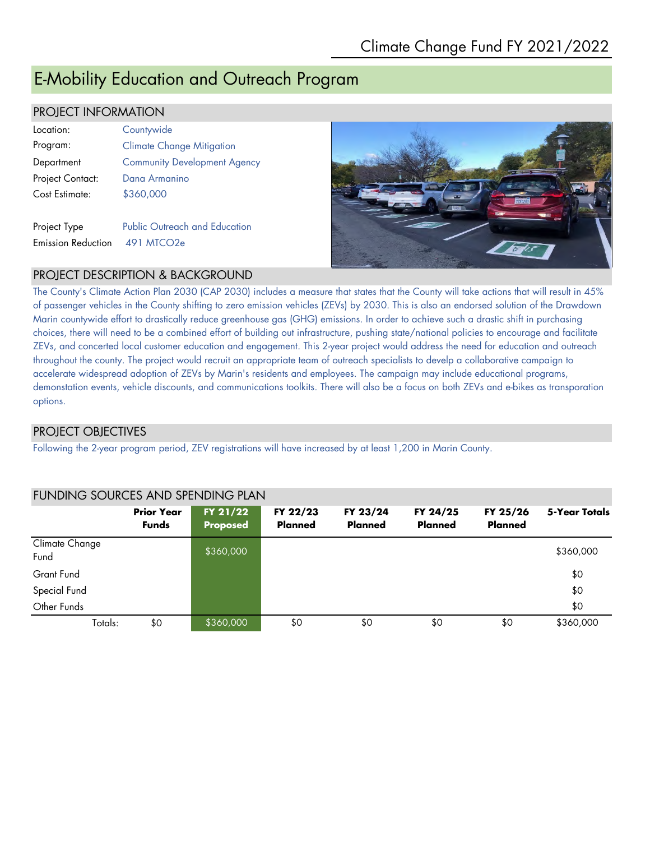## E-Mobility Education and Outreach Program

#### PROJECT INFORMATION

| l ocation:                | Countywide                           |
|---------------------------|--------------------------------------|
| Program:                  | <b>Climate Change Mitigation</b>     |
| Department                | <b>Community Development Agency</b>  |
| Project Contact:          | Dana Armanino                        |
| Cost Estimate:            | \$360,000                            |
|                           |                                      |
| Project Type              | <b>Public Outreach and Education</b> |
| <b>Emission Reduction</b> | 491 MTCO2e                           |



 **5-Year Totals**

#### PROJECT DESCRIPTION & BACKGROUND

The County's Climate Action Plan 2030 (CAP 2030) includes a measure that states that the County will take actions that will result in 45% of passenger vehicles in the County shifting to zero emission vehicles (ZEVs) by 2030. This is also an endorsed solution of the Drawdown Marin countywide effort to drastically reduce greenhouse gas (GHG) emissions. In order to achieve such a drastic shift in purchasing choices, there will need to be a combined effort of building out infrastructure, pushing state/national policies to encourage and facilitate ZEVs, and concerted local customer education and engagement. This 2-year project would address the need for education and outreach throughout the county. The project would recruit an appropriate team of outreach specialists to develp a collaborative campaign to accelerate widespread adoption of ZEVs by Marin's residents and employees. The campaign may include educational programs, demonstation events, vehicle discounts, and communications toolkits. There will also be a focus on both ZEVs and e-bikes as transporation options.

#### PROJECT OBJECTIVES

Following the 2-year program period, ZEV registrations will have increased by at least 1,200 in Marin County.

#### **Prior Year Funds FY 21/22 Proposed FY 22/23 Planned FY 23/24 Planned FY 24/25 Planned FY 25/26 Planned** Climate Change Fund \$360,000 \$360,000 \$360,000 \$360,000 \$360,000 \$360,000 \$360,000 \$360,000 \$360,000 \$360,000 \$360,000 \$360,000 Grant Fund \$0 Special Fund \$0 Other Funds \$0

Totals: \$0 \$360,000 \$0 \$0 \$0 \$0 \$360,000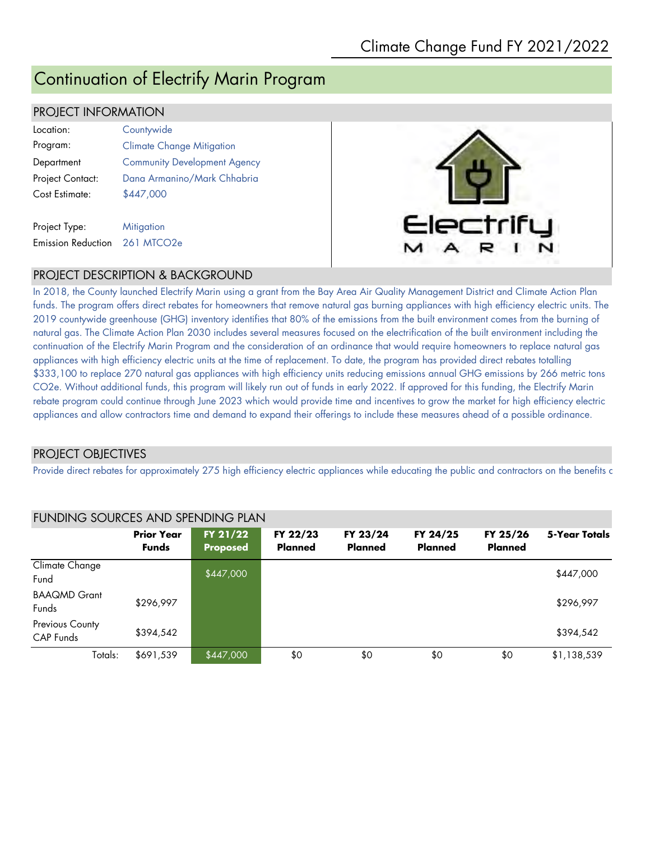## Continuation of Electrify Marin Program

#### PROJECT INFORMATION

Emission Reduction 261 MTCO2e

| Location:        | Countywide                          |
|------------------|-------------------------------------|
| Program:         | <b>Climate Change Mitigation</b>    |
| Department       | <b>Community Development Agency</b> |
| Project Contact: | Dana Armanino/Mark Chhabria         |
| Cost Estimate:   | \$447,000                           |
|                  |                                     |
| Project Type:    | <b>Mitigation</b>                   |



#### PROJECT DESCRIPTION & BACKGROUND

In 2018, the County launched Electrify Marin using a grant from the Bay Area Air Quality Management District and Climate Action Plan funds. The program offers direct rebates for homeowners that remove natural gas burning appliances with high efficiency electric units. The 2019 countywide greenhouse (GHG) inventory identifies that 80% of the emissions from the built environment comes from the burning of natural gas. The Climate Action Plan 2030 includes several measures focused on the electrification of the built environment including the continuation of the Electrify Marin Program and the consideration of an ordinance that would require homeowners to replace natural gas appliances with high efficiency electric units at the time of replacement. To date, the program has provided direct rebates totalling \$333,100 to replace 270 natural gas appliances with high efficiency units reducing emissions annual GHG emissions by 266 metric tons CO2e. Without additional funds, this program will likely run out of funds in early 2022. If approved for this funding, the Electrify Marin rebate program could continue through June 2023 which would provide time and incentives to grow the market for high efficiency electric appliances and allow contractors time and demand to expand their offerings to include these measures ahead of a possible ordinance.

#### PROJECT OBJECTIVES

Provide direct rebates for approximately 275 high efficiency electric appliances while educating the public and contractors on the benefits c

|                              | <u>TUNUNG JOUNGEJ AND JENDING FENN</u> |                             |                            |                            |                            |                            |               |  |
|------------------------------|----------------------------------------|-----------------------------|----------------------------|----------------------------|----------------------------|----------------------------|---------------|--|
|                              | <b>Prior Year</b><br><b>Funds</b>      | FY 21/22<br><b>Proposed</b> | FY 22/23<br><b>Planned</b> | FY 23/24<br><b>Planned</b> | FY 24/25<br><b>Planned</b> | FY 25/26<br><b>Planned</b> | 5-Year Totals |  |
| Climate Change<br>Fund       |                                        | \$447,000                   |                            |                            |                            |                            | \$447,000     |  |
| <b>BAAQMD Grant</b><br>Funds | \$296,997                              |                             |                            |                            |                            |                            | \$296,997     |  |
| Previous County<br>CAP Funds | \$394,542                              |                             |                            |                            |                            |                            | \$394,542     |  |
| Totals:                      | \$691,539                              | \$447,000                   | \$0                        | \$0                        | \$0                        | \$0                        | \$1,138,539   |  |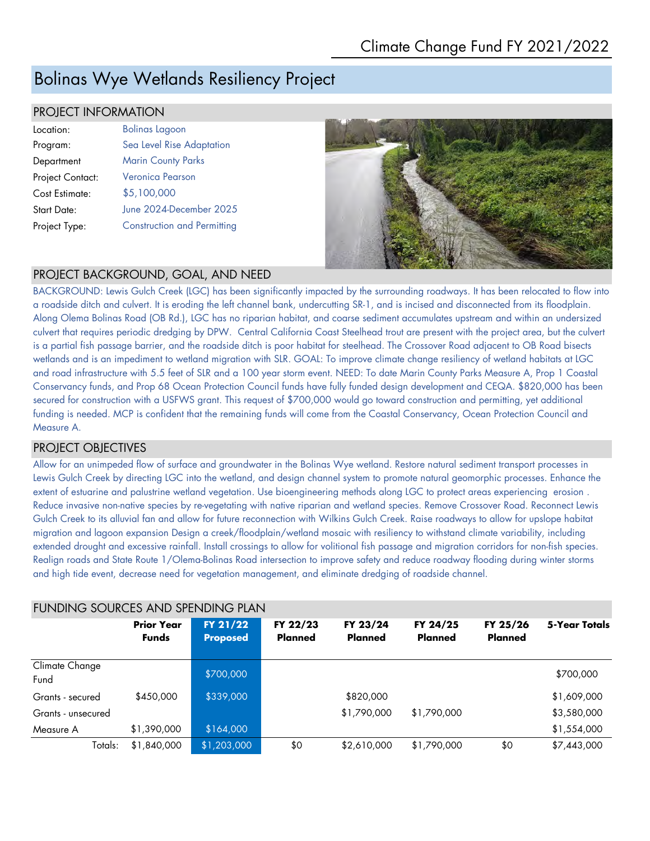## Bolinas Wye Wetlands Resiliency Project

#### PROJECT INFORMATION

| Location:          | <b>Bolinas Lagoon</b>              |
|--------------------|------------------------------------|
| Program:           | Sea Level Rise Adaptation          |
| Department         | <b>Marin County Parks</b>          |
| Project Contact:   | Veronica Pearson                   |
| Cost Estimate:     | \$5,100,000                        |
| <b>Start Date:</b> | June 2024-December 2025            |
| Project Type:      | <b>Construction and Permitting</b> |



#### PROJECT BACKGROUND, GOAL, AND NEED

BACKGROUND: Lewis Gulch Creek (LGC) has been significantly impacted by the surrounding roadways. It has been relocated to flow into a roadside ditch and culvert. It is eroding the left channel bank, undercutting SR-1, and is incised and disconnected from its floodplain. Along Olema Bolinas Road (OB Rd.), LGC has no riparian habitat, and coarse sediment accumulates upstream and within an undersized culvert that requires periodic dredging by DPW. Central California Coast Steelhead trout are present with the project area, but the culvert is a partial fish passage barrier, and the roadside ditch is poor habitat for steelhead. The Crossover Road adjacent to OB Road bisects wetlands and is an impediment to wetland migration with SLR. GOAL: To improve climate change resiliency of wetland habitats at LGC and road infrastructure with 5.5 feet of SLR and a 100 year storm event. NEED: To date Marin County Parks Measure A, Prop 1 Coastal Conservancy funds, and Prop 68 Ocean Protection Council funds have fully funded design development and CEQA. \$820,000 has been secured for construction with a USFWS grant. This request of \$700,000 would go toward construction and permitting, yet additional funding is needed. MCP is confident that the remaining funds will come from the Coastal Conservancy, Ocean Protection Council and Measure A.

#### PROJECT OBJECTIVES

Allow for an unimpeded flow of surface and groundwater in the Bolinas Wye wetland. Restore natural sediment transport processes in Lewis Gulch Creek by directing LGC into the wetland, and design channel system to promote natural geomorphic processes. Enhance the extent of estuarine and palustrine wetland vegetation. Use bioengineering methods along LGC to protect areas experiencing erosion . Reduce invasive non-native species by re-vegetating with native riparian and wetland species. Remove Crossover Road. Reconnect Lewis Gulch Creek to its alluvial fan and allow for future reconnection with Wilkins Gulch Creek. Raise roadways to allow for upslope habitat migration and lagoon expansion Design a creek/floodplain/wetland mosaic with resiliency to withstand climate variability, including extended drought and excessive rainfall. Install crossings to allow for volitional fish passage and migration corridors for non-fish species. Realign roads and State Route 1/Olema-Bolinas Road intersection to improve safety and reduce roadway flooding during winter storms and high tide event, decrease need for vegetation management, and eliminate dredging of roadside channel.

| FUNDING SOURCES AND SPENDING PLAN |                                   |                             |                     |                     |                     |                            |               |
|-----------------------------------|-----------------------------------|-----------------------------|---------------------|---------------------|---------------------|----------------------------|---------------|
|                                   | <b>Prior Year</b><br><b>Funds</b> | FY 21/22<br><b>Proposed</b> | FY 22/23<br>Planned | FY 23/24<br>Planned | FY 24/25<br>Planned | FY 25/26<br><b>Planned</b> | 5-Year Totals |
| Climate Change<br>Fund            |                                   | \$700,000                   |                     |                     |                     |                            | \$700,000     |
| Grants - secured                  | \$450,000                         | \$339,000                   |                     | \$820,000           |                     |                            | \$1,609,000   |
| Grants - unsecured                |                                   |                             |                     | \$1,790,000         | \$1,790,000         |                            | \$3,580,000   |
| Measure A                         | \$1,390,000                       | \$164,000                   |                     |                     |                     |                            | \$1,554,000   |
| Totals:                           | \$1,840,000                       | $\sqrt{$1,203,000}$         | \$0                 | \$2,610,000         | \$1,790,000         | \$0                        | \$7,443,000   |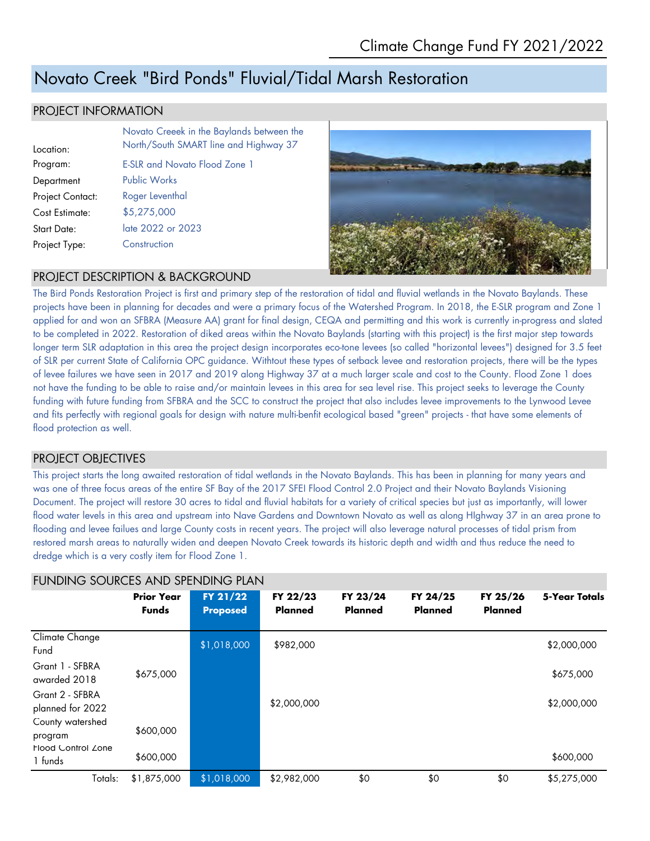## Novato Creek "Bird Ponds" Fluvial/Tidal Marsh Restoration

#### PROJECT INFORMATION

|                         | Novato Creeek in the Baylands between the |
|-------------------------|-------------------------------------------|
| Location:               | North/South SMART line and Highway 37     |
| Program:                | <b>E-SLR and Novato Flood Zone 1</b>      |
| Department              | <b>Public Works</b>                       |
| <b>Project Contact:</b> | Roger Leventhal                           |
| Cost Estimate:          | \$5,275,000                               |
| <b>Start Date:</b>      | late 2022 or 2023                         |
| Project Type:           | Construction                              |
|                         |                                           |



#### PROJECT DESCRIPTION & BACKGROUND

The Bird Ponds Restoration Project is first and primary step of the restoration of tidal and fluvial wetlands in the Novato Baylands. These projects have been in planning for decades and were a primary focus of the Watershed Program. In 2018, the E-SLR program and Zone 1 applied for and won an SFBRA (Measure AA) grant for final design, CEQA and permitting and this work is currently in-progress and slated to be completed in 2022. Restoration of diked areas within the Novato Baylands (starting with this project) is the first major step towards longer term SLR adaptation in this area the project design incorporates eco-tone levees (so called "horizontal levees") designed for 3.5 feet of SLR per current State of California OPC guidance. Withtout these types of setback levee and restoration projects, there will be the types of levee failures we have seen in 2017 and 2019 along Highway 37 at a much larger scale and cost to the County. Flood Zone 1 does not have the funding to be able to raise and/or maintain levees in this area for sea level rise. This project seeks to leverage the County funding with future funding from SFBRA and the SCC to construct the project that also includes levee improvements to the Lynwood Levee and fits perfectly with regional goals for design with nature multi-benfit ecological based "green" projects - that have some elements of flood protection as well.

#### PROJECT OBJECTIVES

This project starts the long awaited restoration of tidal wetlands in the Novato Baylands. This has been in planning for many years and was one of three focus areas of the entire SF Bay of the 2017 SFEI Flood Control 2.0 Project and their Novato Baylands Visioning Document. The project will restore 30 acres to tidal and fluvial habitats for a variety of critical species but just as importantly, will lower flood water levels in this area and upstream into Nave Gardens and Downtown Novato as well as along HIghway 37 in an area prone to flooding and levee failues and large County costs in recent years. The project will also leverage natural processes of tidal prism from restored marsh areas to naturally widen and deepen Novato Creek towards its historic depth and width and thus reduce the need to dredge which is a very costly item for Flood Zone 1.

| TUNUMU JUUNULI AND JELNUMU FLAN      |                                   |                             |                            |                            |                            |                            |               |
|--------------------------------------|-----------------------------------|-----------------------------|----------------------------|----------------------------|----------------------------|----------------------------|---------------|
|                                      | <b>Prior Year</b><br><b>Funds</b> | FY 21/22<br><b>Proposed</b> | FY 22/23<br><b>Planned</b> | FY 23/24<br><b>Planned</b> | FY 24/25<br><b>Planned</b> | FY 25/26<br><b>Planned</b> | 5-Year Totals |
| Climate Change<br>Fund               |                                   | \$1,018,000                 | \$982,000                  |                            |                            |                            | \$2,000,000   |
| Grant 1 - SFBRA<br>awarded 2018      | \$675,000                         |                             |                            |                            |                            |                            | \$675,000     |
| Grant 2 - SFBRA<br>planned for 2022  |                                   |                             | \$2,000,000                |                            |                            |                            | \$2,000,000   |
| County watershed<br>program          | \$600,000                         |                             |                            |                            |                            |                            |               |
| <b>Flood Control Zone</b><br>1 funds | \$600,000                         |                             |                            |                            |                            |                            | \$600,000     |
| Totals:                              | \$1,875,000                       | \$1,018,000                 | \$2,982,000                | \$0                        | \$0                        | \$0                        | \$5,275,000   |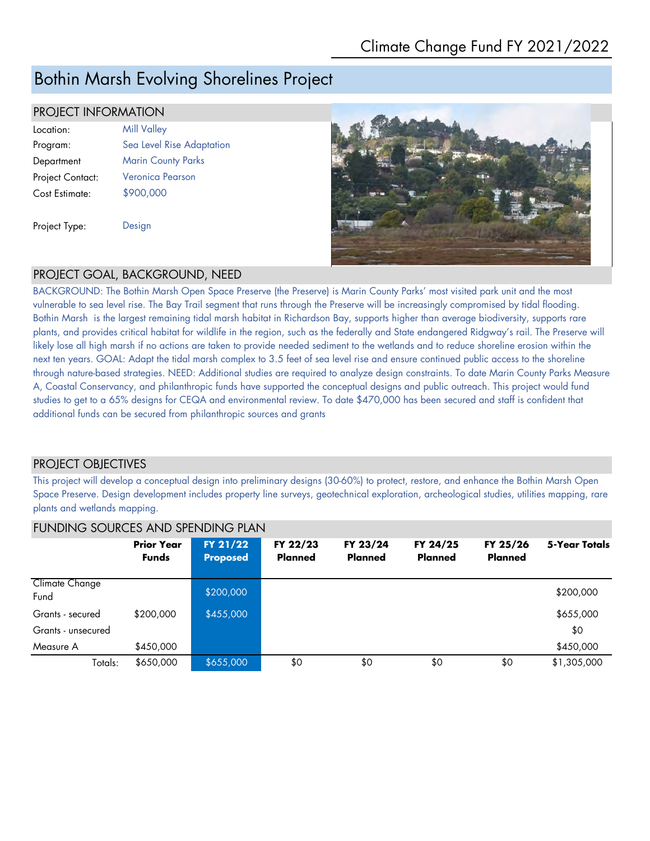## Bothin Marsh Evolving Shorelines Project

#### PROJECT INFORMATION

| Location:        | <b>Mill Valley</b>        |
|------------------|---------------------------|
| Program:         | Sea Level Rise Adaptation |
| Department       | <b>Marin County Parks</b> |
| Project Contact: | Veronica Pearson          |
| Cost Estimate:   | \$900,000                 |
|                  |                           |
| Project Type:    | Design                    |



#### PROJECT GOAL, BACKGROUND, NEED

BACKGROUND: The Bothin Marsh Open Space Preserve (the Preserve) is Marin County Parks' most visited park unit and the most vulnerable to sea level rise. The Bay Trail segment that runs through the Preserve will be increasingly compromised by tidal flooding. Bothin Marsh is the largest remaining tidal marsh habitat in Richardson Bay, supports higher than average biodiversity, supports rare plants, and provides critical habitat for wildlife in the region, such as the federally and State endangered Ridgway's rail. The Preserve will likely lose all high marsh if no actions are taken to provide needed sediment to the wetlands and to reduce shoreline erosion within the next ten years. GOAL: Adapt the tidal marsh complex to 3.5 feet of sea level rise and ensure continued public access to the shoreline through nature-based strategies. NEED: Additional studies are required to analyze design constraints. To date Marin County Parks Measure A, Coastal Conservancy, and philanthropic funds have supported the conceptual designs and public outreach. This project would fund studies to get to a 65% designs for CEQA and environmental review. To date \$470,000 has been secured and staff is confident that additional funds can be secured from philanthropic sources and grants

### PROJECT OBJECTIVES

This project will develop a conceptual design into preliminary designs (30-60%) to protect, restore, and enhance the Bothin Marsh Open Space Preserve. Design development includes property line surveys, geotechnical exploration, archeological studies, utilities mapping, rare plants and wetlands mapping.

|                        | <b>Prior Year</b> | FY 21/22        | FY 22/23       | FY 23/24       | FY 24/25       | FY 25/26       | 5-Year Totals |  |
|------------------------|-------------------|-----------------|----------------|----------------|----------------|----------------|---------------|--|
|                        | <b>Funds</b>      | <b>Proposed</b> | <b>Planned</b> | <b>Planned</b> | <b>Planned</b> | <b>Planned</b> |               |  |
|                        |                   |                 |                |                |                |                |               |  |
| Climate Change<br>Fund |                   | \$200,000       |                |                |                |                | \$200,000     |  |
| Grants - secured       | \$200,000         | \$455,000       |                |                |                |                | \$655,000     |  |
| Grants - unsecured     |                   |                 |                |                |                |                | \$0           |  |
| Measure A              | \$450,000         |                 |                |                |                |                | \$450,000     |  |
| Totals:                | \$650,000         | \$655,000       | \$0            | \$0            | \$0            | \$0            | \$1,305,000   |  |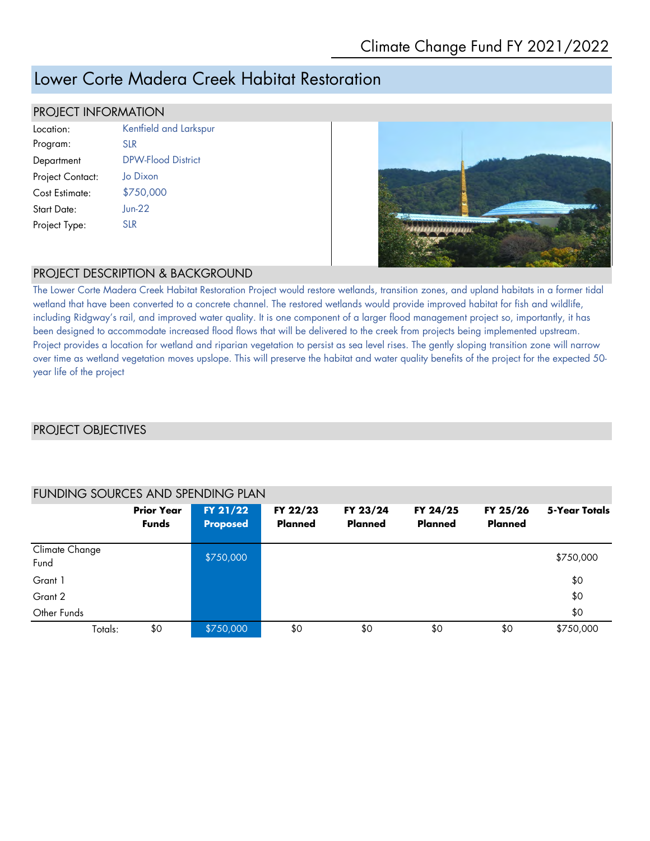## Lower Corte Madera Creek Habitat Restoration

#### PROJECT INFORMATION

| Location:        | Kentfield and Larkspur    |
|------------------|---------------------------|
| Program:         | <b>SLR</b>                |
| Department       | <b>DPW-Flood District</b> |
| Project Contact: | Jo Dixon                  |
| Cost Estimate:   | \$750,000                 |
| Start Date:      | $Jun-22$                  |
| Project Type:    | SLR                       |
|                  |                           |



#### PROJECT DESCRIPTION & BACKGROUND

The Lower Corte Madera Creek Habitat Restoration Project would restore wetlands, transition zones, and upland habitats in a former tidal wetland that have been converted to a concrete channel. The restored wetlands would provide improved habitat for fish and wildlife, including Ridgway's rail, and improved water quality. It is one component of a larger flood management project so, importantly, it has been designed to accommodate increased flood flows that will be delivered to the creek from projects being implemented upstream. Project provides a location for wetland and riparian vegetation to persist as sea level rises. The gently sloping transition zone will narrow over time as wetland vegetation moves upslope. This will preserve the habitat and water quality benefits of the project for the expected 50 year life of the project

#### PROJECT OBJECTIVES

|                        | <b>Prior Year</b><br><b>Funds</b> | FY 21/22<br><b>Proposed</b> | FY 22/23<br><b>Planned</b> | FY 23/24<br><b>Planned</b> | FY 24/25<br><b>Planned</b> | FY 25/26<br>Planned | 5-Year Totals |
|------------------------|-----------------------------------|-----------------------------|----------------------------|----------------------------|----------------------------|---------------------|---------------|
| Climate Change<br>Fund |                                   | \$750,000                   |                            |                            |                            |                     | \$750,000     |
| Grant 1                |                                   |                             |                            |                            |                            |                     | \$0           |
| Grant 2                |                                   |                             |                            |                            |                            |                     | \$0           |
| Other Funds            |                                   |                             |                            |                            |                            |                     | \$0           |
| Totals:                | \$0                               | \$750,000                   | \$0                        | \$0                        | \$0                        | \$0                 | \$750,000     |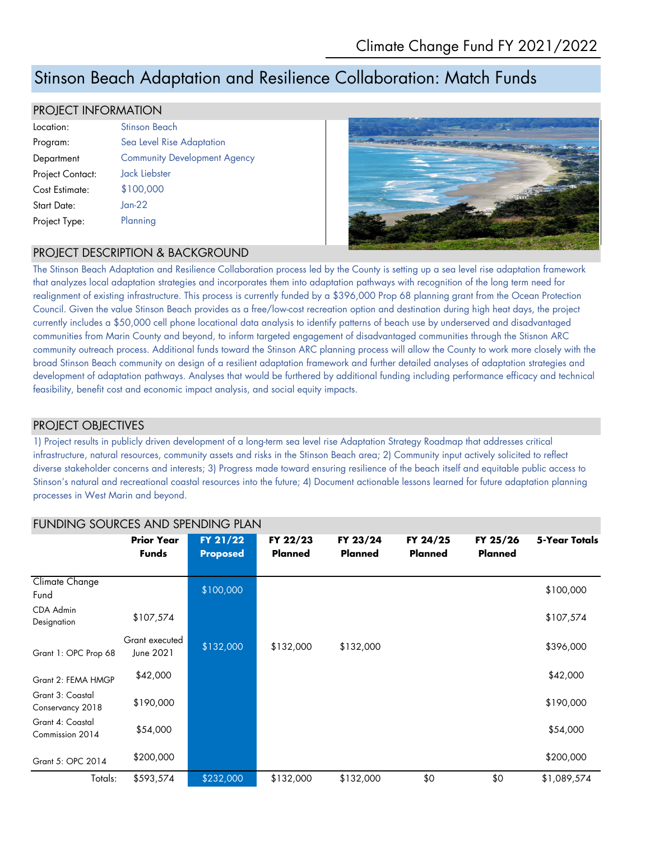## Stinson Beach Adaptation and Resilience Collaboration: Match Funds

#### PROJECT INFORMATION

| Location:          | Stinson Beach                       |
|--------------------|-------------------------------------|
| Program:           | Sea Level Rise Adaptation           |
| Department         | <b>Community Development Agency</b> |
| Project Contact:   | <b>Jack Liebster</b>                |
| Cost Estimate:     | \$100,000                           |
| <b>Start Date:</b> | $Jan-22$                            |
| Project Type:      | Planning                            |



#### PROJECT DESCRIPTION & BACKGROUND

The Stinson Beach Adaptation and Resilience Collaboration process led by the County is setting up a sea level rise adaptation framework that analyzes local adaptation strategies and incorporates them into adaptation pathways with recognition of the long term need for realignment of existing infrastructure. This process is currently funded by a \$396,000 Prop 68 planning grant from the Ocean Protection Council. Given the value Stinson Beach provides as a free/low-cost recreation option and destination during high heat days, the project currently includes a \$50,000 cell phone locational data analysis to identify patterns of beach use by underserved and disadvantaged communities from Marin County and beyond, to inform targeted engagement of disadvantaged communities through the Stisnon ARC community outreach process. Additional funds toward the Stinson ARC planning process will allow the County to work more closely with the broad Stinson Beach community on design of a resilient adaptation framework and further detailed analyses of adaptation strategies and development of adaptation pathways. Analyses that would be furthered by additional funding including performance efficacy and technical feasibility, benefit cost and economic impact analysis, and social equity impacts.

#### PROJECT OBJECTIVES

1) Project results in publicly driven development of a long-term sea level rise Adaptation Strategy Roadmap that addresses critical infrastructure, natural resources, community assets and risks in the Stinson Beach area; 2) Community input actively solicited to reflect diverse stakeholder concerns and interests; 3) Progress made toward ensuring resilience of the beach itself and equitable public access to Stinson's natural and recreational coastal resources into the future; 4) Document actionable lessons learned for future adaptation planning processes in West Marin and beyond.

| FUNDING SOURCES AND SPENDING PLAN    |                                   |                             |                     |                            |                            |                            |               |
|--------------------------------------|-----------------------------------|-----------------------------|---------------------|----------------------------|----------------------------|----------------------------|---------------|
|                                      | <b>Prior Year</b><br><b>Funds</b> | FY 21/22<br><b>Proposed</b> | FY 22/23<br>Planned | FY 23/24<br><b>Planned</b> | FY 24/25<br><b>Planned</b> | FY 25/26<br><b>Planned</b> | 5-Year Totals |
| Climate Change<br>Fund               |                                   | \$100,000                   |                     |                            |                            |                            | \$100,000     |
| CDA Admin<br>Designation             | \$107,574                         |                             |                     |                            |                            |                            | \$107,574     |
| Grant 1: OPC Prop 68                 | Grant executed<br>June 2021       | \$132,000                   | \$132,000           | \$132,000                  |                            |                            | \$396,000     |
| Grant 2: FEMA HMGP                   | \$42,000                          |                             |                     |                            |                            |                            | \$42,000      |
| Grant 3: Coastal<br>Conservancy 2018 | \$190,000                         |                             |                     |                            |                            |                            | \$190,000     |
| Grant 4: Coastal<br>Commission 2014  | \$54,000                          |                             |                     |                            |                            |                            | \$54,000      |
| Grant 5: OPC 2014                    | \$200,000                         |                             |                     |                            |                            |                            | \$200,000     |
| Totals:                              | \$593,574                         | \$232,000                   | \$132,000           | \$132,000                  | \$0                        | \$0                        | \$1,089,574   |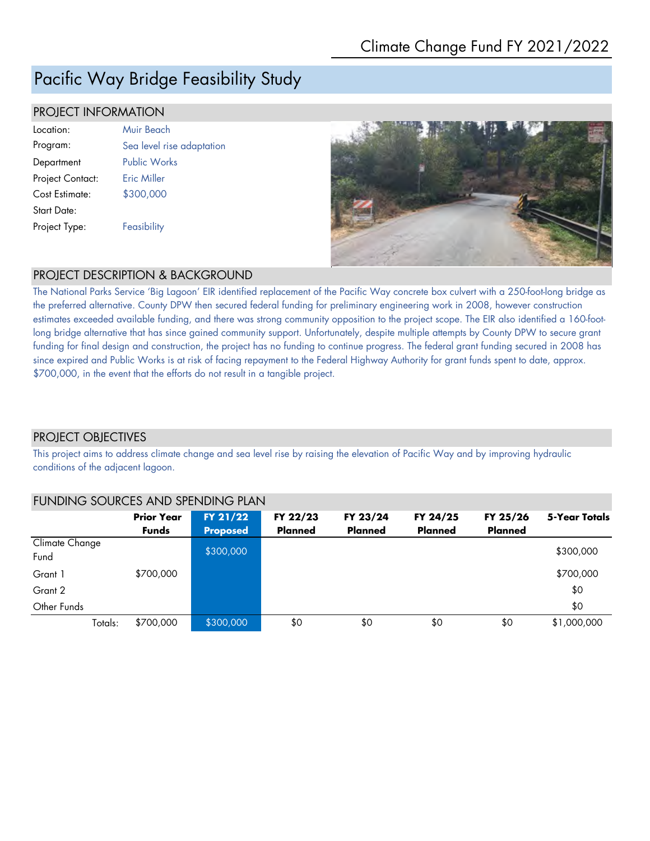## Pacific Way Bridge Feasibility Study

#### PROJECT INFORMATION

| Location:        | Muir Beach                |
|------------------|---------------------------|
| Program:         | Sea level rise adaptation |
| Department       | <b>Public Works</b>       |
| Project Contact: | <b>Fric Miller</b>        |
| Cost Estimate:   | \$300,000                 |
| Start Date:      |                           |
| Project Type:    | Feasibility               |
|                  |                           |



#### PROJECT DESCRIPTION & BACKGROUND

The National Parks Service 'Big Lagoon' EIR identified replacement of the Pacific Way concrete box culvert with a 250-foot-long bridge as the preferred alternative. County DPW then secured federal funding for preliminary engineering work in 2008, however construction estimates exceeded available funding, and there was strong community opposition to the project scope. The EIR also identified a 160-footlong bridge alternative that has since gained community support. Unfortunately, despite multiple attempts by County DPW to secure grant funding for final design and construction, the project has no funding to continue progress. The federal grant funding secured in 2008 has since expired and Public Works is at risk of facing repayment to the Federal Highway Authority for grant funds spent to date, approx. \$700,000, in the event that the efforts do not result in a tangible project.

#### PROJECT OBJECTIVES

This project aims to address climate change and sea level rise by raising the elevation of Pacific Way and by improving hydraulic conditions of the adjacent lagoon.

| FUNDING SOURCES AND SPENDING PLAN |                                   |                             |                            |                            |                            |                            |               |  |
|-----------------------------------|-----------------------------------|-----------------------------|----------------------------|----------------------------|----------------------------|----------------------------|---------------|--|
|                                   | <b>Prior Year</b><br><b>Funds</b> | FY 21/22<br><b>Proposed</b> | FY 22/23<br><b>Planned</b> | FY 23/24<br><b>Planned</b> | FY 24/25<br><b>Planned</b> | FY 25/26<br><b>Planned</b> | 5-Year Totals |  |
| Climate Change<br>Fund            |                                   | \$300,000                   |                            |                            |                            |                            | \$300,000     |  |
| Grant 1                           | \$700,000                         |                             |                            |                            |                            |                            | \$700,000     |  |
| Grant 2                           |                                   |                             |                            |                            |                            |                            | \$0           |  |
| Other Funds                       |                                   |                             |                            |                            |                            |                            | \$0           |  |
| Totals:                           | \$700,000                         | \$300,000                   | \$0                        | \$0                        | \$0                        | \$0                        | \$1,000,000   |  |